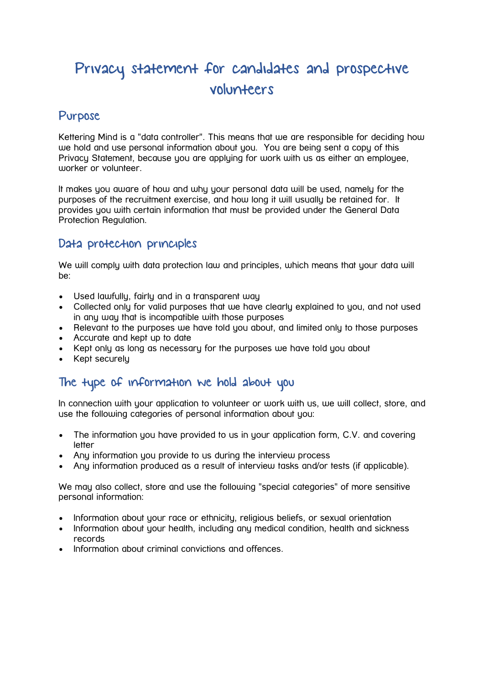# Privacy statement for candidates and prospective volunteers

## Purpose

Kettering Mind is a "data controller". This means that we are responsible for deciding how we hold and use personal information about you. You are being sent a copy of this Privacy Statement, because you are applying for work with us as either an employee, worker or volunteer.

It makes you aware of how and why your personal data will be used, namely for the purposes of the recruitment exercise, and how long it will usually be retained for. It provides you with certain information that must be provided under the General Data Protection Regulation.

#### Data protection principles

We will comply with data protection law and principles, which means that your data will be:

- Used lawfully, fairly and in a transparent way
- Collected only for valid purposes that we have clearly explained to you, and not used in any way that is incompatible with those purposes
- Relevant to the purposes we have told you about, and limited only to those purposes
- Accurate and kept up to date
- Kept only as long as necessary for the purposes we have told you about
- Kept securely

## The type of information we hold about you

In connection with your application to volunteer or work with us, we will collect, store, and use the following categories of personal information about you:

- The information you have provided to us in your application form, C.V. and covering letter
- Any information you provide to us during the interview process
- Any information produced as a result of interview tasks and/or tests (if applicable).

We may also collect, store and use the following "special categories" of more sensitive personal information:

- Information about your race or ethnicity, religious beliefs, or sexual orientation
- Information about your health, including any medical condition, health and sickness records
- Information about criminal convictions and offences.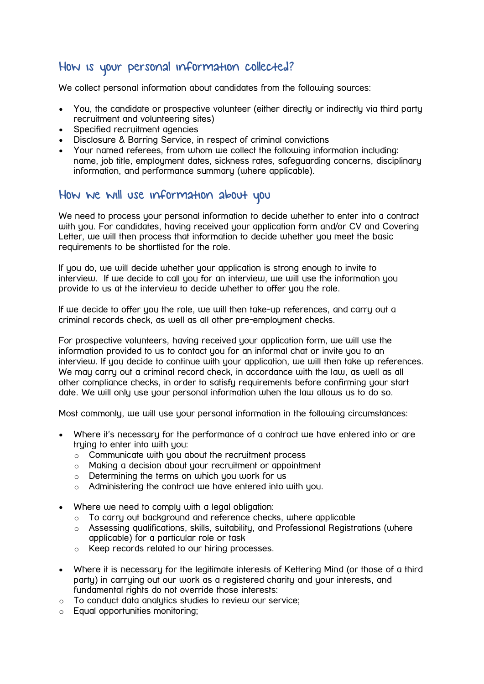# How is your personal information collected?

We collect personal information about candidates from the following sources:

- You, the candidate or prospective volunteer (either directly or indirectly via third party recruitment and volunteering sites)
- Specified recruitment agencies
- Disclosure & Barring Service, in respect of criminal convictions
- Your named referees, from whom we collect the following information including: name, job title, employment dates, sickness rates, safeguarding concerns, disciplinary information, and performance summary (where applicable).

### How we will use information about you

We need to process your personal information to decide whether to enter into a contract with you. For candidates, having received your application form and/or CV and Covering Letter, we will then process that information to decide whether you meet the basic requirements to be shortlisted for the role.

If you do, we will decide whether your application is strong enough to invite to interview. If we decide to call you for an interview, we will use the information you provide to us at the interview to decide whether to offer you the role.

If we decide to offer you the role, we will then take-up references, and carry out a criminal records check, as well as all other pre-employment checks.

For prospective volunteers, having received your application form, we will use the information provided to us to contact you for an informal chat or invite you to an interview. If you decide to continue with your application, we will then take up references. We may carry out a criminal record check, in accordance with the law, as well as all other compliance checks, in order to satisfy requirements before confirming your start date. We will only use your personal information when the law allows us to do so.

Most commonly, we will use your personal information in the following circumstances:

- Where it's necessary for the performance of a contract we have entered into or are truing to enter into with you:
	- o Communicate with you about the recruitment process
	- o Making a decision about your recruitment or appointment
	- $\circ$  Determining the terms on which you work for us
	- $\circ$  Administering the contract we have entered into with you.
- Where we need to comply with a legal obligation:
	- o To carry out background and reference checks, where applicable
	- o Assessing qualifications, skills, suitability, and Professional Registrations (where applicable) for a particular role or task
	- o Keep records related to our hiring processes.
- Where it is necessary for the legitimate interests of Kettering Mind (or those of a third party) in carrying out our work as a registered charity and your interests, and fundamental rights do not override those interests:
- o To conduct data analytics studies to review our service;
- o Equal opportunities monitoring;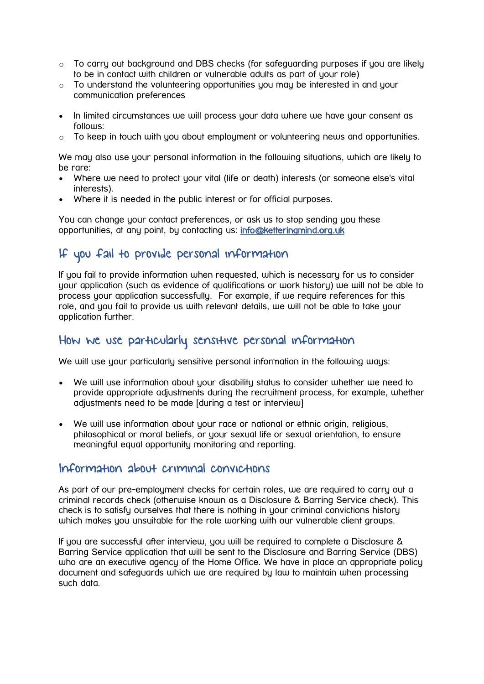- $\circ$  To carry out background and DBS checks (for safeguarding purposes if you are likely to be in contact with children or vulnerable adults as part of your role)
- $\circ$  To understand the volunteering opportunities you may be interested in and your communication preferences
- In limited circumstances we will process your data where we have your consent as follows:
- $\circ$  To keep in touch with you about employment or volunteering news and opportunities.

We may also use your personal information in the following situations, which are likely to be rare:

- Where we need to protect your vital (life or death) interests (or someone else's vital interests).
- Where it is needed in the public interest or for official purposes.

You can change your contact preferences, or ask us to stop sending you these opportunities, at any point, by contacting us: [info@ketteringmind.org.uk](mailto:info@ketteringmind.org.uk)

## If you fail to provide personal information

If you fail to provide information when requested, which is necessary for us to consider your application (such as evidence of qualifications or work history) we will not be able to process your application successfully. For example, if we require references for this role, and you fail to provide us with relevant details, we will not be able to take your application further.

#### How we use particularly sensitive personal information

We will use your particularly sensitive personal information in the following ways:

- We will use information about your disability status to consider whether we need to provide appropriate adjustments during the recruitment process, for example, whether adjustments need to be made [during a test or interview]
- We will use information about your race or national or ethnic origin, religious, philosophical or moral beliefs, or your sexual life or sexual orientation, to ensure meaningful equal opportunity monitoring and reporting.

#### Information about criminal convictions

As part of our pre-employment checks for certain roles, we are required to carry out a criminal records check (otherwise known as a Disclosure & Barring Service check). This check is to satisfy ourselves that there is nothing in your criminal convictions history which makes you unsuitable for the role working with our vulnerable client groups.

If you are successful after interview, you will be required to complete a Disclosure & Barring Service application that will be sent to the Disclosure and Barring Service (DBS) who are an executive agency of the Home Office. We have in place an appropriate policy document and safeguards which we are required by law to maintain when processing such data.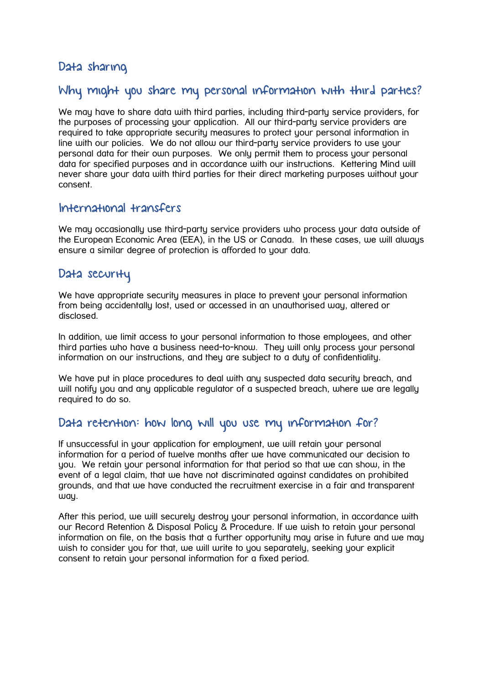## Data sharing

## Why might you share my personal information with third parties?

We may have to share data with third parties, including third-party service providers, for the purposes of processing your application. All our third-party service providers are required to take appropriate security measures to protect your personal information in line with our policies. We do not allow our third-party service providers to use your personal data for their own purposes. We only permit them to process your personal data for specified purposes and in accordance with our instructions. Kettering Mind will never share your data with third parties for their direct marketing purposes without your consent.

#### International transfers

We may occasionally use third-party service providers who process your data outside of the European Economic Area (EEA), in the US or Canada. In these cases, we will always ensure a similar degree of protection is afforded to your data.

#### Data security

We have appropriate security measures in place to prevent your personal information from being accidentally lost, used or accessed in an unauthorised way, altered or disclosed.

In addition, we limit access to your personal information to those employees, and other third parties who have a business need-to-know. They will only process your personal information on our instructions, and they are subject to a duty of confidentiality.

We have put in place procedures to deal with any suspected data security breach, and will notify you and any applicable regulator of a suspected breach, where we are legally required to do so.

### Data retention: how long will you use my information for?

If unsuccessful in your application for employment, we will retain your personal information for a period of twelve months after we have communicated our decision to you. We retain your personal information for that period so that we can show, in the event of a legal claim, that we have not discriminated against candidates on prohibited grounds, and that we have conducted the recruitment exercise in a fair and transparent way.

After this period, we will securely destroy your personal information, in accordance with our Record Retention & Disposal Policy & Procedure. If we wish to retain your personal information on file, on the basis that a further opportunity may arise in future and we may wish to consider you for that, we will write to you separately, seeking your explicit consent to retain your personal information for a fixed period.